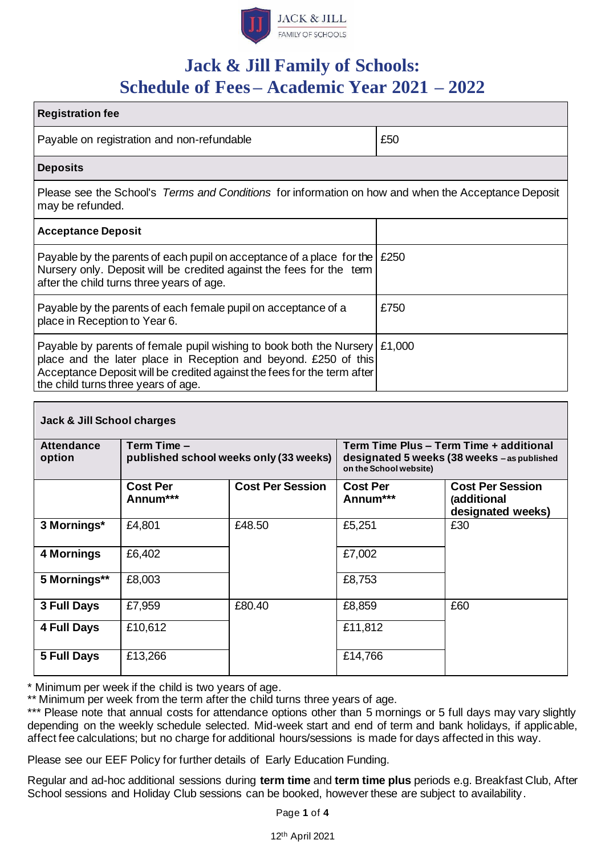

# **Jack & Jill Family of Schools: Schedule of Fees – Academic Year 2021 – 2022**

| <b>Registration fee</b>                                                                                                                                                                                                                                                |      |  |  |  |
|------------------------------------------------------------------------------------------------------------------------------------------------------------------------------------------------------------------------------------------------------------------------|------|--|--|--|
| Payable on registration and non-refundable                                                                                                                                                                                                                             | £50  |  |  |  |
| <b>Deposits</b>                                                                                                                                                                                                                                                        |      |  |  |  |
| Please see the School's Terms and Conditions for information on how and when the Acceptance Deposit<br>may be refunded.                                                                                                                                                |      |  |  |  |
| <b>Acceptance Deposit</b>                                                                                                                                                                                                                                              |      |  |  |  |
| Payable by the parents of each pupil on acceptance of a place for the $\sqrt{250}$<br>Nursery only. Deposit will be credited against the fees for the term<br>after the child turns three years of age.                                                                |      |  |  |  |
| Payable by the parents of each female pupil on acceptance of a<br>place in Reception to Year 6.                                                                                                                                                                        | £750 |  |  |  |
| Payable by parents of female pupil wishing to book both the Nursery $\mid$ £1,000<br>place and the later place in Reception and beyond. £250 of this<br>Acceptance Deposit will be credited against the fees for the term after<br>the child turns three years of age. |      |  |  |  |

| Jack & Jill School charges  |                                                       |                         |                             |                                                                                        |  |
|-----------------------------|-------------------------------------------------------|-------------------------|-----------------------------|----------------------------------------------------------------------------------------|--|
| <b>Attendance</b><br>option | Term Time -<br>published school weeks only (33 weeks) |                         | on the School website)      | Term Time Plus - Term Time + additional<br>designated 5 weeks (38 weeks - as published |  |
|                             | <b>Cost Per</b><br>Annum***                           | <b>Cost Per Session</b> | <b>Cost Per</b><br>Annum*** | <b>Cost Per Session</b><br>(additional<br>designated weeks)                            |  |
| 3 Mornings*                 | £4,801                                                | £48.50                  | £5,251                      | £30                                                                                    |  |
| 4 Mornings                  | £6,402                                                |                         | £7,002                      |                                                                                        |  |
| 5 Mornings**                | £8,003                                                |                         | £8,753                      |                                                                                        |  |
| 3 Full Days                 | £7,959                                                | £80.40                  | £8,859                      | £60                                                                                    |  |
| 4 Full Days                 | £10,612                                               |                         | £11,812                     |                                                                                        |  |
| 5 Full Days                 | £13,266                                               |                         | £14,766                     |                                                                                        |  |

\* Minimum per week if the child is two years of age.

\*\* Minimum per week from the term after the child turns three years of age.

\*\*\* Please note that annual costs for attendance options other than 5 mornings or 5 full days may vary slightly depending on the weekly schedule selected. Mid-week start and end of term and bank holidays, if applicable, affect fee calculations; but no charge for additional hours/sessions is made for days affected in this way.

Please see our EEF Policy for further details of Early Education Funding.

Regular and ad-hoc additional sessions during **term time** and **term time plus** periods e.g. Breakfast Club, After School sessions and Holiday Club sessions can be booked, however these are subject to availability.

Page **1** of **4**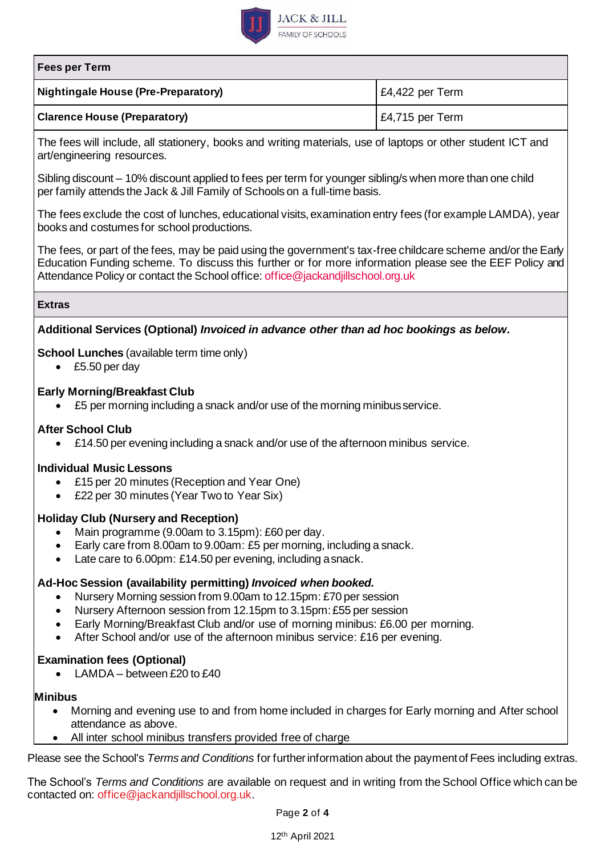

#### **Fees per Term**

| Nightingale House (Pre-Preparatory) | E4,422 per Term            |
|-------------------------------------|----------------------------|
| <b>Clarence House (Preparatory)</b> | $\mathsf{E}4,715$ per Term |

The fees will include, all stationery, books and writing materials, use of laptops or other student ICT and art/engineering resources.

Sibling discount – 10% discount applied to fees per term for younger sibling/s when more than one child per family attends the Jack & Jill Family of Schools on a full-time basis.

The fees exclude the cost of lunches, educational visits, examination entry fees (for example LAMDA), year books and costumes for school productions.

The fees, or part of the fees, may be paid using the government's tax-free childcare scheme and/or the Early Education Funding scheme. To discuss this further or for more information please see the EEF Policy and Attendance Policy or contact the School office[: office@jackandjillschool.org.uk](mailto:office@jackandjillschool.org.uk)

#### **Extras**

## **Additional Services (Optional)** *Invoiced in advance other than ad hoc bookings as below.*

## **School Lunches** (available term time only)

• £5.50 per day

#### **Early Morning/Breakfast Club**

• £5 per morning including a snack and/or use of the morning minibus service.

#### **After School Club**

• £14.50 per evening including a snack and/or use of the afternoon minibus service.

## **Individual Music Lessons**

- £15 per 20 minutes (Reception and Year One)
- £22 per 30 minutes (Year Two to Year Six)

## **Holiday Club (Nursery and Reception)**

- Main programme (9.00am to 3.15pm): £60 per day.
- Early care from 8.00am to 9.00am: £5 per morning, including a snack.
- Late care to 6.00pm: £14.50 per evening, including a snack.

## **Ad-Hoc Session (availability permitting)** *Invoiced when booked.*

- Nursery Morning session from 9.00am to 12.15pm: £70 per session
- Nursery Afternoon session from 12.15pm to 3.15pm:£55 per session
- Early Morning/Breakfast Club and/or use of morning minibus: £6.00 per morning.
- After School and/or use of the afternoon minibus service: £16 per evening.

## **Examination fees (Optional)**

• LAMDA – between £20 to £40

#### **Minibus**

- Morning and evening use to and from home included in charges for Early morning and After school attendance as above.
- All inter school minibus transfers provided free of charge

Please see the School's *Terms and Conditions* for further information about the payment of Fees including extras.

The School's *Terms and Conditions* are available on request and in writing from the School Office which can be contacted on: [office@jackandjillschool.org.uk.](mailto:office@jackandjillschool.org.uk)

Page **2** of **4**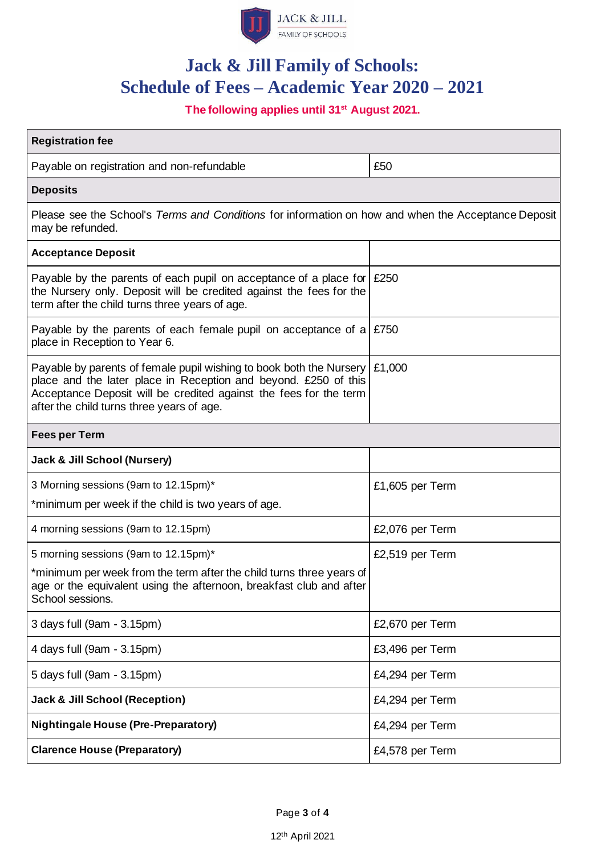

# **Jack & Jill Family of Schools: Schedule of Fees – Academic Year 2020 – 2021**

**The following applies until 31st August 2021.**

| <b>Registration fee</b>                                                                                                                                                                                                                                  |                 |  |  |  |
|----------------------------------------------------------------------------------------------------------------------------------------------------------------------------------------------------------------------------------------------------------|-----------------|--|--|--|
| Payable on registration and non-refundable                                                                                                                                                                                                               | £50             |  |  |  |
| <b>Deposits</b>                                                                                                                                                                                                                                          |                 |  |  |  |
| Please see the School's Terms and Conditions for information on how and when the Acceptance Deposit<br>may be refunded.                                                                                                                                  |                 |  |  |  |
| <b>Acceptance Deposit</b>                                                                                                                                                                                                                                |                 |  |  |  |
| Payable by the parents of each pupil on acceptance of a place for $\mid$ £250<br>the Nursery only. Deposit will be credited against the fees for the<br>term after the child turns three years of age.                                                   |                 |  |  |  |
| Payable by the parents of each female pupil on acceptance of a $\,$ £750<br>place in Reception to Year 6.                                                                                                                                                |                 |  |  |  |
| Payable by parents of female pupil wishing to book both the Nursery<br>place and the later place in Reception and beyond. £250 of this<br>Acceptance Deposit will be credited against the fees for the term<br>after the child turns three years of age. | £1,000          |  |  |  |
| <b>Fees per Term</b>                                                                                                                                                                                                                                     |                 |  |  |  |
| <b>Jack &amp; Jill School (Nursery)</b>                                                                                                                                                                                                                  |                 |  |  |  |
| 3 Morning sessions (9am to 12.15pm)*                                                                                                                                                                                                                     | £1,605 per Term |  |  |  |
| *minimum per week if the child is two years of age.                                                                                                                                                                                                      |                 |  |  |  |
| 4 morning sessions (9am to 12.15pm)                                                                                                                                                                                                                      | £2,076 per Term |  |  |  |
| 5 morning sessions (9am to 12.15pm)*                                                                                                                                                                                                                     | £2,519 per Term |  |  |  |
| *minimum per week from the term after the child turns three years of<br>age or the equivalent using the afternoon, breakfast club and after<br>School sessions.                                                                                          |                 |  |  |  |
| 3 days full (9am - 3.15pm)                                                                                                                                                                                                                               | £2,670 per Term |  |  |  |
| 4 days full (9am - 3.15pm)                                                                                                                                                                                                                               | £3,496 per Term |  |  |  |
| 5 days full (9am - 3.15pm)                                                                                                                                                                                                                               | £4,294 per Term |  |  |  |
| <b>Jack &amp; Jill School (Reception)</b>                                                                                                                                                                                                                | £4,294 per Term |  |  |  |
| <b>Nightingale House (Pre-Preparatory)</b>                                                                                                                                                                                                               | £4,294 per Term |  |  |  |
| <b>Clarence House (Preparatory)</b>                                                                                                                                                                                                                      | £4,578 per Term |  |  |  |